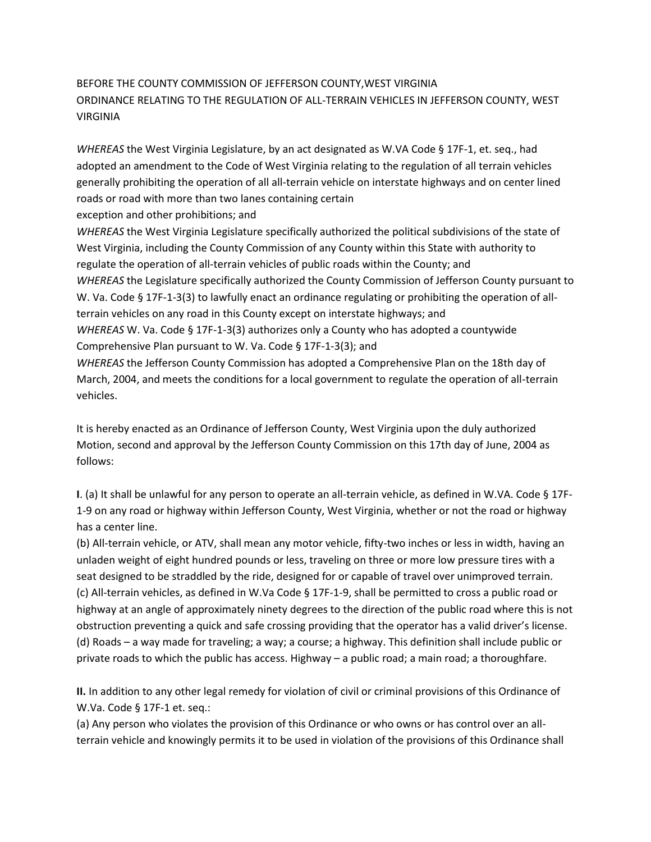## BEFORE THE COUNTY COMMISSION OF JEFFERSON COUNTY,WEST VIRGINIA ORDINANCE RELATING TO THE REGULATION OF ALL-TERRAIN VEHICLES IN JEFFERSON COUNTY, WEST VIRGINIA

*WHEREAS* the West Virginia Legislature, by an act designated as W.VA Code § 17F-1, et. seq., had adopted an amendment to the Code of West Virginia relating to the regulation of all terrain vehicles generally prohibiting the operation of all all-terrain vehicle on interstate highways and on center lined roads or road with more than two lanes containing certain exception and other prohibitions; and

*WHEREAS* the West Virginia Legislature specifically authorized the political subdivisions of the state of West Virginia, including the County Commission of any County within this State with authority to regulate the operation of all-terrain vehicles of public roads within the County; and *WHEREAS* the Legislature specifically authorized the County Commission of Jefferson County pursuant to W. Va. Code § 17F-1-3(3) to lawfully enact an ordinance regulating or prohibiting the operation of allterrain vehicles on any road in this County except on interstate highways; and *WHEREAS* W. Va. Code § 17F-1-3(3) authorizes only a County who has adopted a countywide Comprehensive Plan pursuant to W. Va. Code § 17F-1-3(3); and

*WHEREAS* the Jefferson County Commission has adopted a Comprehensive Plan on the 18th day of March, 2004, and meets the conditions for a local government to regulate the operation of all-terrain vehicles.

It is hereby enacted as an Ordinance of Jefferson County, West Virginia upon the duly authorized Motion, second and approval by the Jefferson County Commission on this 17th day of June, 2004 as follows:

**I**. (a) It shall be unlawful for any person to operate an all-terrain vehicle, as defined in W.VA. Code § 17F-1-9 on any road or highway within Jefferson County, West Virginia, whether or not the road or highway has a center line.

(b) All-terrain vehicle, or ATV, shall mean any motor vehicle, fifty-two inches or less in width, having an unladen weight of eight hundred pounds or less, traveling on three or more low pressure tires with a seat designed to be straddled by the ride, designed for or capable of travel over unimproved terrain. (c) All-terrain vehicles, as defined in W.Va Code § 17F-1-9, shall be permitted to cross a public road or highway at an angle of approximately ninety degrees to the direction of the public road where this is not obstruction preventing a quick and safe crossing providing that the operator has a valid driver's license. (d) Roads – a way made for traveling; a way; a course; a highway. This definition shall include public or private roads to which the public has access. Highway – a public road; a main road; a thoroughfare.

**II.** In addition to any other legal remedy for violation of civil or criminal provisions of this Ordinance of W.Va. Code § 17F-1 et. seq.:

(a) Any person who violates the provision of this Ordinance or who owns or has control over an allterrain vehicle and knowingly permits it to be used in violation of the provisions of this Ordinance shall